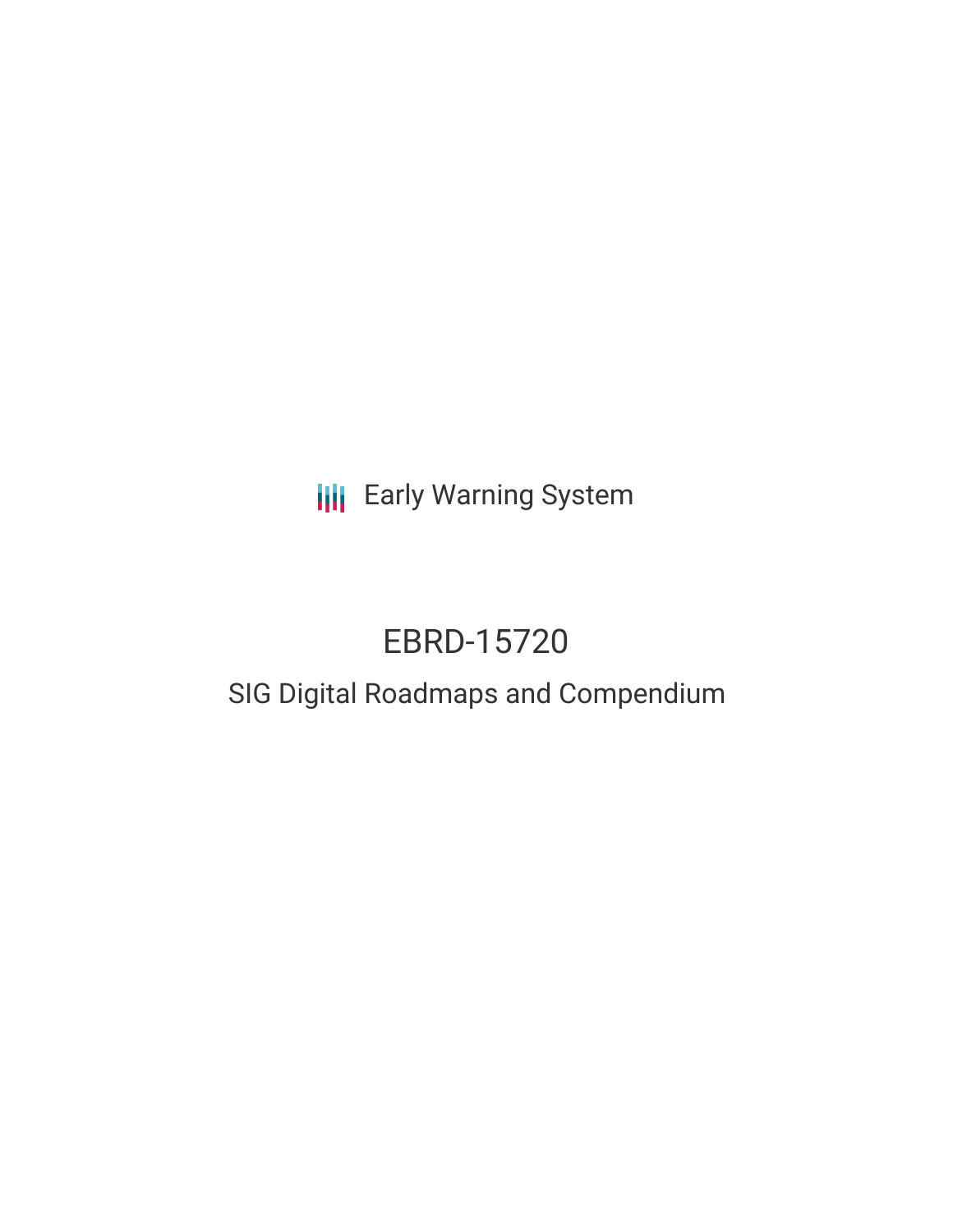**III** Early Warning System

# EBRD-15720

## SIG Digital Roadmaps and Compendium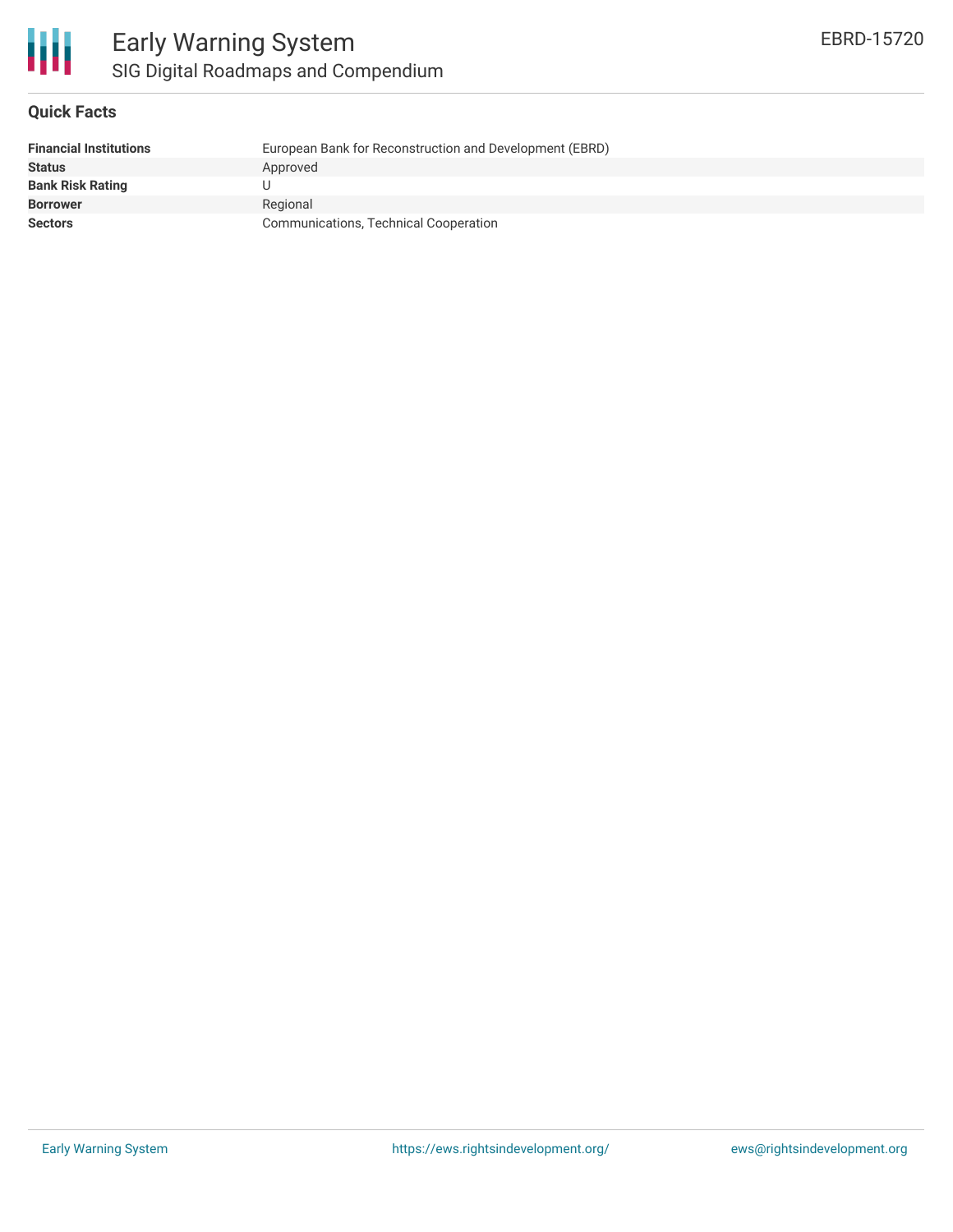

#### **Quick Facts**

| <b>Financial Institutions</b> | European Bank for Reconstruction and Development (EBRD) |
|-------------------------------|---------------------------------------------------------|
| <b>Status</b>                 | Approved                                                |
| <b>Bank Risk Rating</b>       |                                                         |
| <b>Borrower</b>               | Regional                                                |
| <b>Sectors</b>                | Communications, Technical Cooperation                   |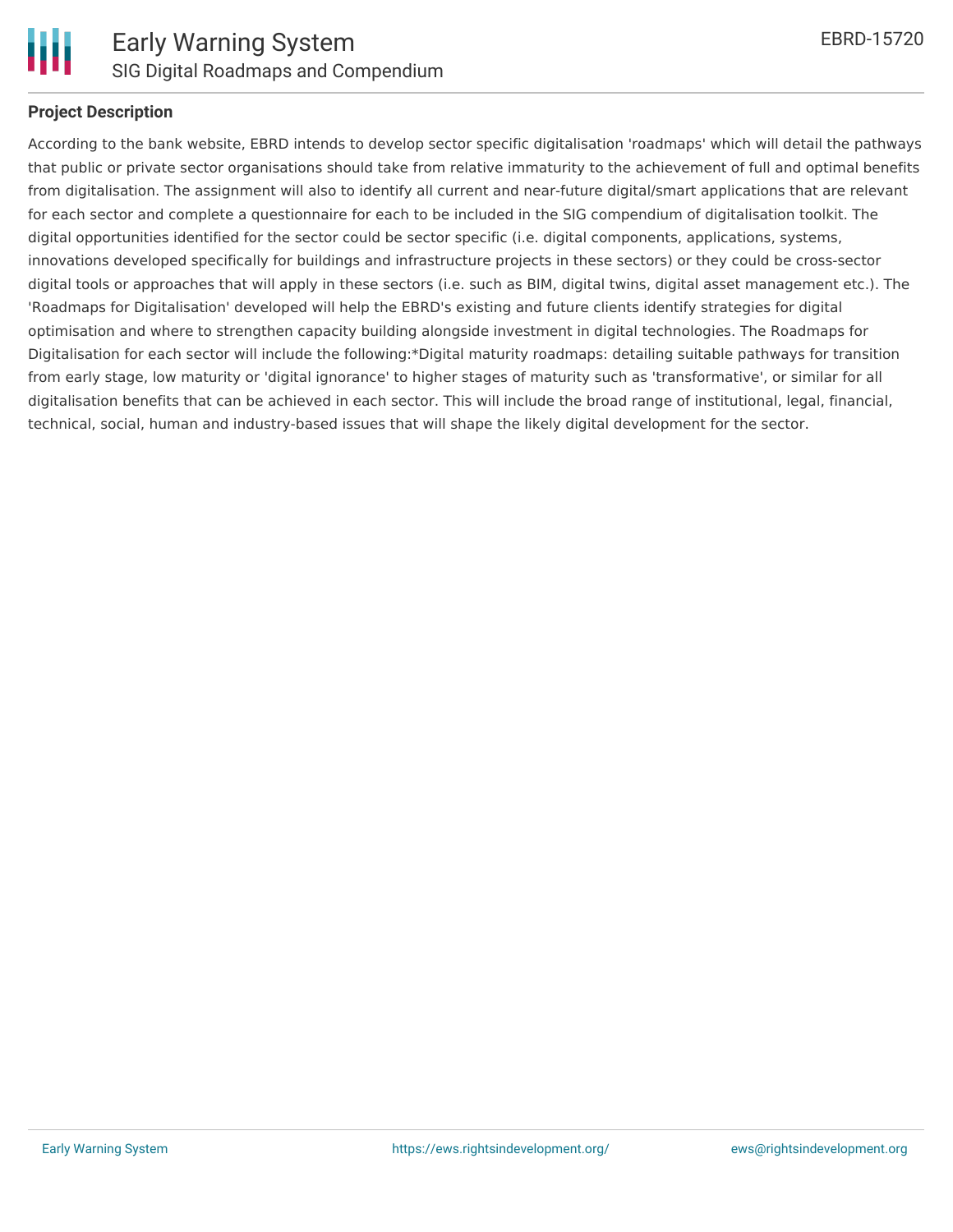

#### **Project Description**

According to the bank website, EBRD intends to develop sector specific digitalisation 'roadmaps' which will detail the pathways that public or private sector organisations should take from relative immaturity to the achievement of full and optimal benefits from digitalisation. The assignment will also to identify all current and near-future digital/smart applications that are relevant for each sector and complete a questionnaire for each to be included in the SIG compendium of digitalisation toolkit. The digital opportunities identified for the sector could be sector specific (i.e. digital components, applications, systems, innovations developed specifically for buildings and infrastructure projects in these sectors) or they could be cross-sector digital tools or approaches that will apply in these sectors (i.e. such as BIM, digital twins, digital asset management etc.). The 'Roadmaps for Digitalisation' developed will help the EBRD's existing and future clients identify strategies for digital optimisation and where to strengthen capacity building alongside investment in digital technologies. The Roadmaps for Digitalisation for each sector will include the following:\*Digital maturity roadmaps: detailing suitable pathways for transition from early stage, low maturity or 'digital ignorance' to higher stages of maturity such as 'transformative', or similar for all digitalisation benefits that can be achieved in each sector. This will include the broad range of institutional, legal, financial, technical, social, human and industry-based issues that will shape the likely digital development for the sector.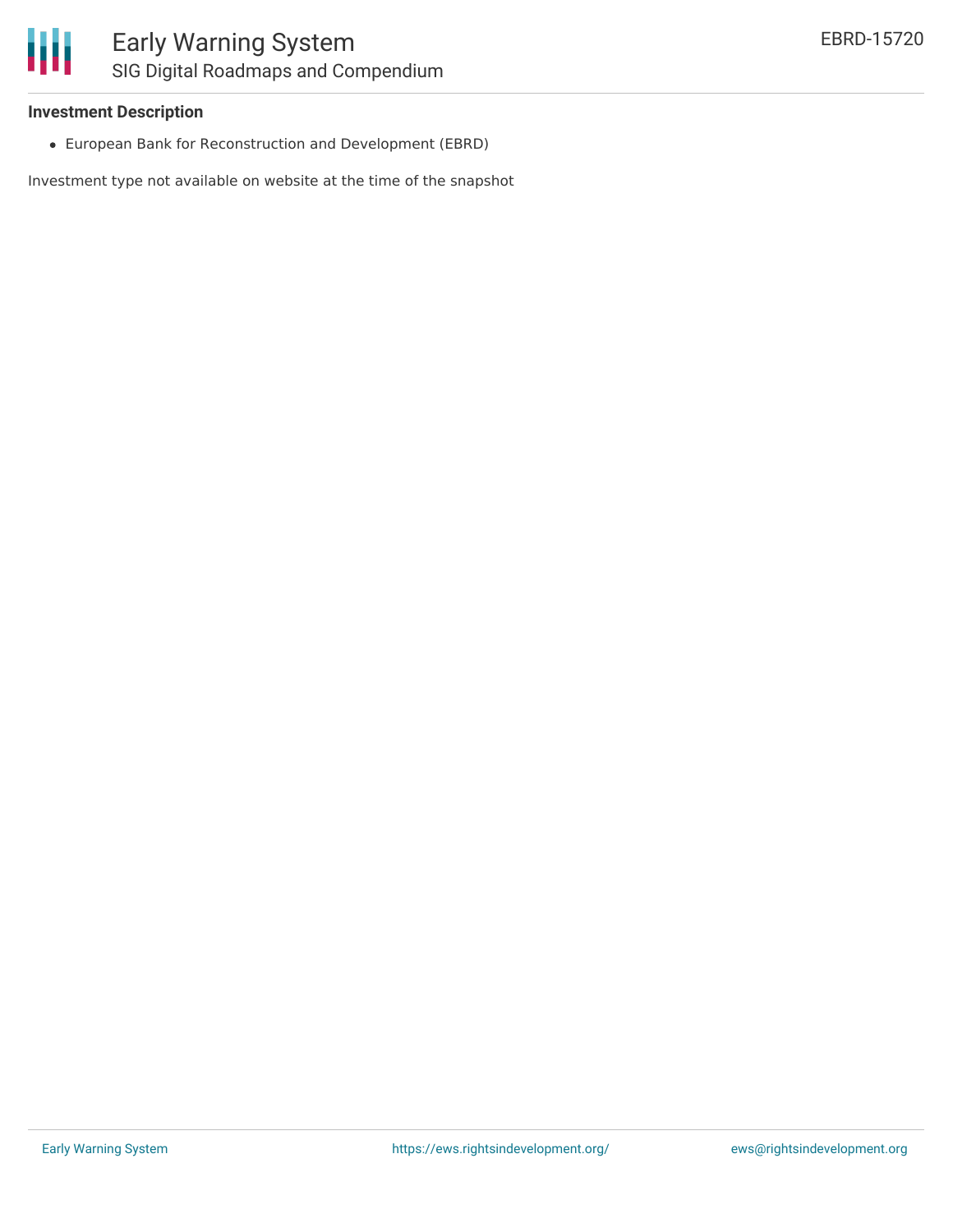Ш

#### **Investment Description**

European Bank for Reconstruction and Development (EBRD)

Investment type not available on website at the time of the snapshot